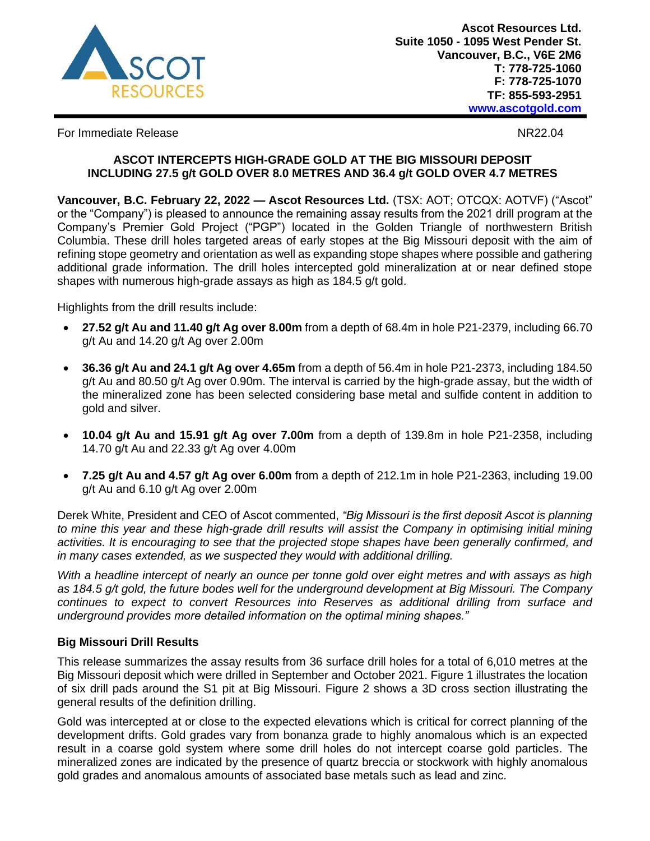

For Immediate Release NR22.04

### **ASCOT INTERCEPTS HIGH-GRADE GOLD AT THE BIG MISSOURI DEPOSIT INCLUDING 27.5 g/t GOLD OVER 8.0 METRES AND 36.4 g/t GOLD OVER 4.7 METRES**

**Vancouver, B.C. February 22, 2022 — Ascot Resources Ltd.** (TSX: AOT; OTCQX: AOTVF) ("Ascot" or the "Company") is pleased to announce the remaining assay results from the 2021 drill program at the Company's Premier Gold Project ("PGP") located in the Golden Triangle of northwestern British Columbia. These drill holes targeted areas of early stopes at the Big Missouri deposit with the aim of refining stope geometry and orientation as well as expanding stope shapes where possible and gathering additional grade information. The drill holes intercepted gold mineralization at or near defined stope shapes with numerous high-grade assays as high as 184.5 g/t gold.

Highlights from the drill results include:

- **27.52 g/t Au and 11.40 g/t Ag over 8.00m** from a depth of 68.4m in hole P21-2379, including 66.70 g/t Au and 14.20 g/t Ag over 2.00m
- **36.36 g/t Au and 24.1 g/t Ag over 4.65m** from a depth of 56.4m in hole P21-2373, including 184.50 g/t Au and 80.50 g/t Ag over 0.90m. The interval is carried by the high-grade assay, but the width of the mineralized zone has been selected considering base metal and sulfide content in addition to gold and silver.
- **10.04 g/t Au and 15.91 g/t Ag over 7.00m** from a depth of 139.8m in hole P21-2358, including 14.70 g/t Au and 22.33 g/t Ag over 4.00m
- **7.25 g/t Au and 4.57 g/t Ag over 6.00m** from a depth of 212.1m in hole P21-2363, including 19.00 g/t Au and 6.10 g/t Ag over 2.00m

Derek White, President and CEO of Ascot commented, *"Big Missouri is the first deposit Ascot is planning to mine this year and these high-grade drill results will assist the Company in optimising initial mining activities. It is encouraging to see that the projected stope shapes have been generally confirmed, and in many cases extended, as we suspected they would with additional drilling.*

*With a headline intercept of nearly an ounce per tonne gold over eight metres and with assays as high as 184.5 g/t gold, the future bodes well for the underground development at Big Missouri. The Company continues to expect to convert Resources into Reserves as additional drilling from surface and underground provides more detailed information on the optimal mining shapes."*

# **Big Missouri Drill Results**

This release summarizes the assay results from 36 surface drill holes for a total of 6,010 metres at the Big Missouri deposit which were drilled in September and October 2021. Figure 1 illustrates the location of six drill pads around the S1 pit at Big Missouri. Figure 2 shows a 3D cross section illustrating the general results of the definition drilling.

Gold was intercepted at or close to the expected elevations which is critical for correct planning of the development drifts. Gold grades vary from bonanza grade to highly anomalous which is an expected result in a coarse gold system where some drill holes do not intercept coarse gold particles. The mineralized zones are indicated by the presence of quartz breccia or stockwork with highly anomalous gold grades and anomalous amounts of associated base metals such as lead and zinc.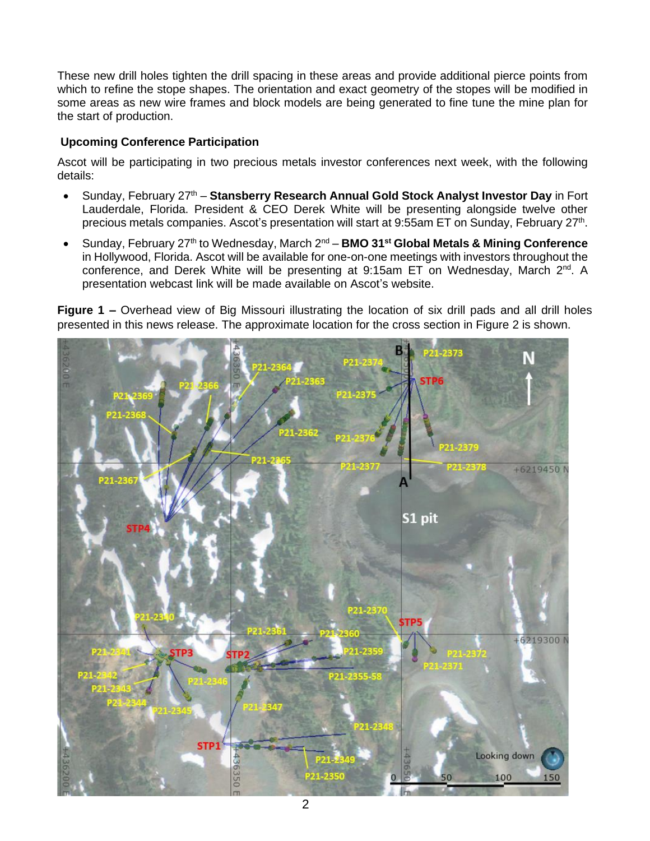These new drill holes tighten the drill spacing in these areas and provide additional pierce points from which to refine the stope shapes. The orientation and exact geometry of the stopes will be modified in some areas as new wire frames and block models are being generated to fine tune the mine plan for the start of production.

## **Upcoming Conference Participation**

Ascot will be participating in two precious metals investor conferences next week, with the following details:

- Sunday, February 27<sup>th</sup> Stansberry Research Annual Gold Stock Analyst Investor Day in Fort Lauderdale, Florida. President & CEO Derek White will be presenting alongside twelve other precious metals companies. Ascot's presentation will start at 9:55am ET on Sunday, February 27<sup>th</sup>.
- **•** Sunday, February 27<sup>th</sup> to Wednesday, March 2<sup>nd</sup> **BMO 31<sup>st</sup> Global Metals & Mining Conference** in Hollywood, Florida. Ascot will be available for one-on-one meetings with investors throughout the conference, and Derek White will be presenting at 9:15am ET on Wednesday, March 2<sup>nd</sup>. A presentation webcast link will be made available on Ascot's website.

**Figure 1 –** Overhead view of Big Missouri illustrating the location of six drill pads and all drill holes presented in this news release. The approximate location for the cross section in Figure 2 is shown.

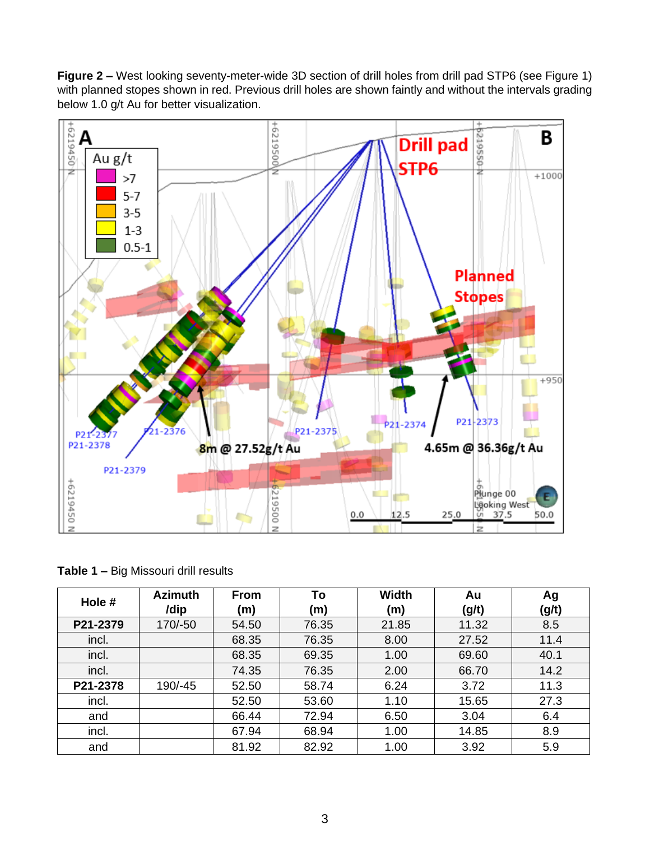**Figure 2 –** West looking seventy-meter-wide 3D section of drill holes from drill pad STP6 (see Figure 1) with planned stopes shown in red. Previous drill holes are shown faintly and without the intervals grading below 1.0 g/t Au for better visualization.



|  |  | <b>Table 1 - Big Missouri drill results</b> |  |  |
|--|--|---------------------------------------------|--|--|
|--|--|---------------------------------------------|--|--|

| Hole #   | <b>Azimuth</b><br>/dip | <b>From</b><br>(m) | To<br>(m) | <b>Width</b><br>(m) | Au<br>(g/t) | Ag<br>(g/t) |
|----------|------------------------|--------------------|-----------|---------------------|-------------|-------------|
| P21-2379 | 170/-50                | 54.50              | 76.35     | 21.85               | 11.32       | 8.5         |
| incl.    |                        | 68.35              | 76.35     | 8.00                | 27.52       | 11.4        |
| incl.    |                        | 68.35              | 69.35     | 1.00                | 69.60       | 40.1        |
| incl.    |                        | 74.35              | 76.35     | 2.00                | 66.70       | 14.2        |
| P21-2378 | 190/-45                | 52.50              | 58.74     | 6.24                | 3.72        | 11.3        |
| incl.    |                        | 52.50              | 53.60     | 1.10                | 15.65       | 27.3        |
| and      |                        | 66.44              | 72.94     | 6.50                | 3.04        | 6.4         |
| incl.    |                        | 67.94              | 68.94     | 1.00                | 14.85       | 8.9         |
| and      |                        | 81.92              | 82.92     | 1.00                | 3.92        | 5.9         |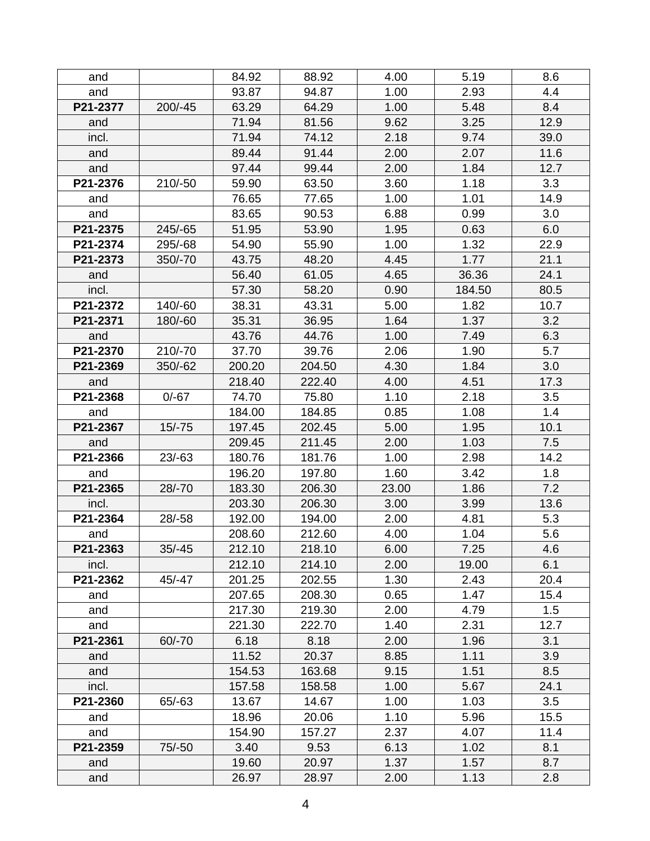| and      |           | 84.92  | 88.92  | 4.00  | 5.19   | 8.6  |
|----------|-----------|--------|--------|-------|--------|------|
| and      |           | 93.87  | 94.87  | 1.00  | 2.93   | 4.4  |
| P21-2377 | $200/-45$ | 63.29  | 64.29  | 1.00  | 5.48   | 8.4  |
| and      |           | 71.94  | 81.56  | 9.62  | 3.25   | 12.9 |
| incl.    |           | 71.94  | 74.12  | 2.18  | 9.74   | 39.0 |
| and      |           | 89.44  | 91.44  | 2.00  | 2.07   | 11.6 |
| and      |           | 97.44  | 99.44  | 2.00  | 1.84   | 12.7 |
| P21-2376 | $210/-50$ | 59.90  | 63.50  | 3.60  | 1.18   | 3.3  |
| and      |           | 76.65  | 77.65  | 1.00  | 1.01   | 14.9 |
| and      |           | 83.65  | 90.53  | 6.88  | 0.99   | 3.0  |
| P21-2375 | 245/-65   | 51.95  | 53.90  | 1.95  | 0.63   | 6.0  |
| P21-2374 | 295/-68   | 54.90  | 55.90  | 1.00  | 1.32   | 22.9 |
| P21-2373 | 350/-70   | 43.75  | 48.20  | 4.45  | 1.77   | 21.1 |
| and      |           | 56.40  | 61.05  | 4.65  | 36.36  | 24.1 |
| incl.    |           | 57.30  | 58.20  | 0.90  | 184.50 | 80.5 |
| P21-2372 | 140/-60   | 38.31  | 43.31  | 5.00  | 1.82   | 10.7 |
| P21-2371 | 180/-60   | 35.31  | 36.95  | 1.64  | 1.37   | 3.2  |
| and      |           | 43.76  | 44.76  | 1.00  | 7.49   | 6.3  |
| P21-2370 | 210/-70   | 37.70  | 39.76  | 2.06  | 1.90   | 5.7  |
| P21-2369 | 350/-62   | 200.20 | 204.50 | 4.30  | 1.84   | 3.0  |
| and      |           | 218.40 | 222.40 | 4.00  | 4.51   | 17.3 |
| P21-2368 | $0/-67$   | 74.70  | 75.80  | 1.10  | 2.18   | 3.5  |
| and      |           | 184.00 | 184.85 | 0.85  | 1.08   | 1.4  |
| P21-2367 | $15/-75$  | 197.45 | 202.45 | 5.00  | 1.95   | 10.1 |
| and      |           | 209.45 | 211.45 | 2.00  | 1.03   | 7.5  |
| P21-2366 | $23/-63$  | 180.76 | 181.76 | 1.00  | 2.98   | 14.2 |
| and      |           | 196.20 | 197.80 | 1.60  | 3.42   | 1.8  |
| P21-2365 | $28/-70$  | 183.30 | 206.30 | 23.00 | 1.86   | 7.2  |
| incl.    |           | 203.30 | 206.30 | 3.00  | 3.99   | 13.6 |
| P21-2364 | $28/-58$  | 192.00 | 194.00 | 2.00  | 4.81   | 5.3  |
| and      |           | 208.60 | 212.60 | 4.00  | 1.04   | 5.6  |
| P21-2363 | $35/-45$  | 212.10 | 218.10 | 6.00  | 7.25   | 4.6  |
| incl.    |           | 212.10 | 214.10 | 2.00  | 19.00  | 6.1  |
| P21-2362 | $45/-47$  | 201.25 | 202.55 | 1.30  | 2.43   | 20.4 |
| and      |           | 207.65 | 208.30 | 0.65  | 1.47   | 15.4 |
| and      |           | 217.30 | 219.30 | 2.00  | 4.79   | 1.5  |
| and      |           | 221.30 | 222.70 | 1.40  | 2.31   | 12.7 |
| P21-2361 | $60/-70$  | 6.18   | 8.18   | 2.00  | 1.96   | 3.1  |
| and      |           | 11.52  | 20.37  | 8.85  | 1.11   | 3.9  |
| and      |           | 154.53 | 163.68 | 9.15  | 1.51   | 8.5  |
| incl.    |           | 157.58 | 158.58 | 1.00  | 5.67   | 24.1 |
| P21-2360 | $65/-63$  | 13.67  | 14.67  | 1.00  | 1.03   | 3.5  |
| and      |           | 18.96  | 20.06  | 1.10  | 5.96   | 15.5 |
| and      |           | 154.90 | 157.27 | 2.37  | 4.07   | 11.4 |
| P21-2359 | $75/-50$  | 3.40   | 9.53   | 6.13  | 1.02   | 8.1  |
| and      |           | 19.60  | 20.97  | 1.37  | 1.57   | 8.7  |
| and      |           | 26.97  | 28.97  | 2.00  | 1.13   | 2.8  |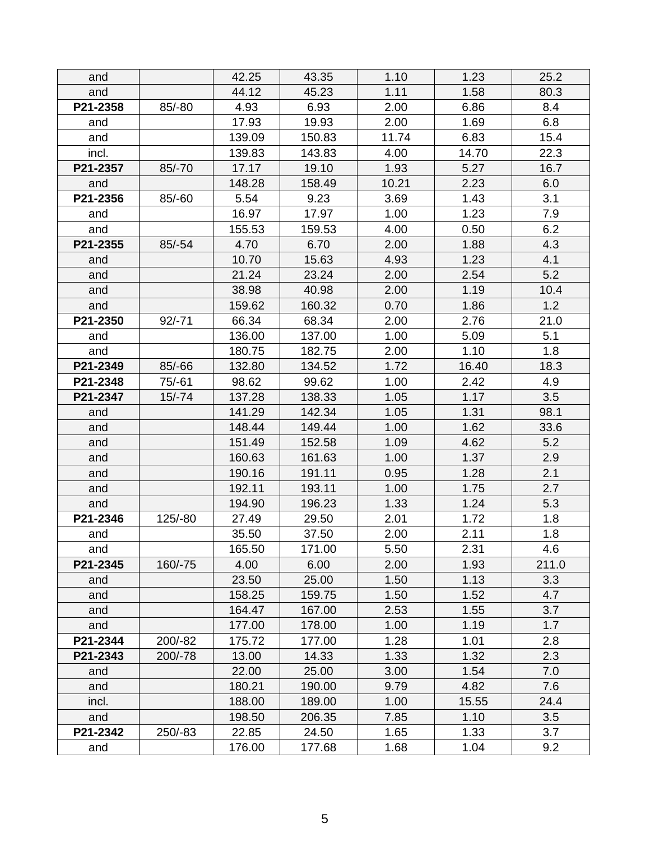| and      |          | 42.25  | 43.35  | 1.10  | 1.23  | 25.2  |
|----------|----------|--------|--------|-------|-------|-------|
| and      |          | 44.12  | 45.23  | 1.11  | 1.58  | 80.3  |
| P21-2358 | $85/-80$ | 4.93   | 6.93   | 2.00  | 6.86  | 8.4   |
| and      |          | 17.93  | 19.93  | 2.00  | 1.69  | 6.8   |
| and      |          | 139.09 | 150.83 | 11.74 | 6.83  | 15.4  |
| incl.    |          | 139.83 | 143.83 | 4.00  | 14.70 | 22.3  |
| P21-2357 | $85/-70$ | 17.17  | 19.10  | 1.93  | 5.27  | 16.7  |
| and      |          | 148.28 | 158.49 | 10.21 | 2.23  | 6.0   |
| P21-2356 | $85/-60$ | 5.54   | 9.23   | 3.69  | 1.43  | 3.1   |
| and      |          | 16.97  | 17.97  | 1.00  | 1.23  | 7.9   |
| and      |          | 155.53 | 159.53 | 4.00  | 0.50  | 6.2   |
| P21-2355 | $85/-54$ | 4.70   | 6.70   | 2.00  | 1.88  | 4.3   |
| and      |          | 10.70  | 15.63  | 4.93  | 1.23  | 4.1   |
| and      |          | 21.24  | 23.24  | 2.00  | 2.54  | 5.2   |
| and      |          | 38.98  | 40.98  | 2.00  | 1.19  | 10.4  |
| and      |          | 159.62 | 160.32 | 0.70  | 1.86  | 1.2   |
| P21-2350 | $92/-71$ | 66.34  | 68.34  | 2.00  | 2.76  | 21.0  |
| and      |          | 136.00 | 137.00 | 1.00  | 5.09  | 5.1   |
| and      |          | 180.75 | 182.75 | 2.00  | 1.10  | 1.8   |
| P21-2349 | $85/-66$ | 132.80 | 134.52 | 1.72  | 16.40 | 18.3  |
| P21-2348 | $75/-61$ | 98.62  | 99.62  | 1.00  | 2.42  | 4.9   |
| P21-2347 | $15/-74$ | 137.28 | 138.33 | 1.05  | 1.17  | 3.5   |
| and      |          | 141.29 | 142.34 | 1.05  | 1.31  | 98.1  |
| and      |          | 148.44 | 149.44 | 1.00  | 1.62  | 33.6  |
| and      |          | 151.49 | 152.58 | 1.09  | 4.62  | 5.2   |
| and      |          | 160.63 | 161.63 | 1.00  | 1.37  | 2.9   |
| and      |          | 190.16 | 191.11 | 0.95  | 1.28  | 2.1   |
| and      |          | 192.11 | 193.11 | 1.00  | 1.75  | 2.7   |
| and      |          | 194.90 | 196.23 | 1.33  | 1.24  | 5.3   |
| P21-2346 | 125/-80  | 27.49  | 29.50  | 2.01  | 1.72  | 1.8   |
| and      |          | 35.50  | 37.50  | 2.00  | 2.11  | 1.8   |
| and      |          | 165.50 | 171.00 | 5.50  | 2.31  | 4.6   |
| P21-2345 | 160/-75  | 4.00   | 6.00   | 2.00  | 1.93  | 211.0 |
| and      |          | 23.50  | 25.00  | 1.50  | 1.13  | 3.3   |
| and      |          | 158.25 | 159.75 | 1.50  | 1.52  | 4.7   |
| and      |          | 164.47 | 167.00 | 2.53  | 1.55  | 3.7   |
| and      |          | 177.00 | 178.00 | 1.00  | 1.19  | 1.7   |
| P21-2344 | 200/-82  | 175.72 | 177.00 | 1.28  | 1.01  | 2.8   |
| P21-2343 | 200/-78  | 13.00  | 14.33  | 1.33  | 1.32  | 2.3   |
| and      |          | 22.00  | 25.00  | 3.00  | 1.54  | 7.0   |
| and      |          | 180.21 | 190.00 | 9.79  | 4.82  | 7.6   |
| incl.    |          | 188.00 | 189.00 | 1.00  | 15.55 | 24.4  |
| and      |          | 198.50 | 206.35 | 7.85  | 1.10  | 3.5   |
| P21-2342 | 250/-83  | 22.85  | 24.50  | 1.65  | 1.33  | 3.7   |
| and      |          | 176.00 | 177.68 | 1.68  | 1.04  | 9.2   |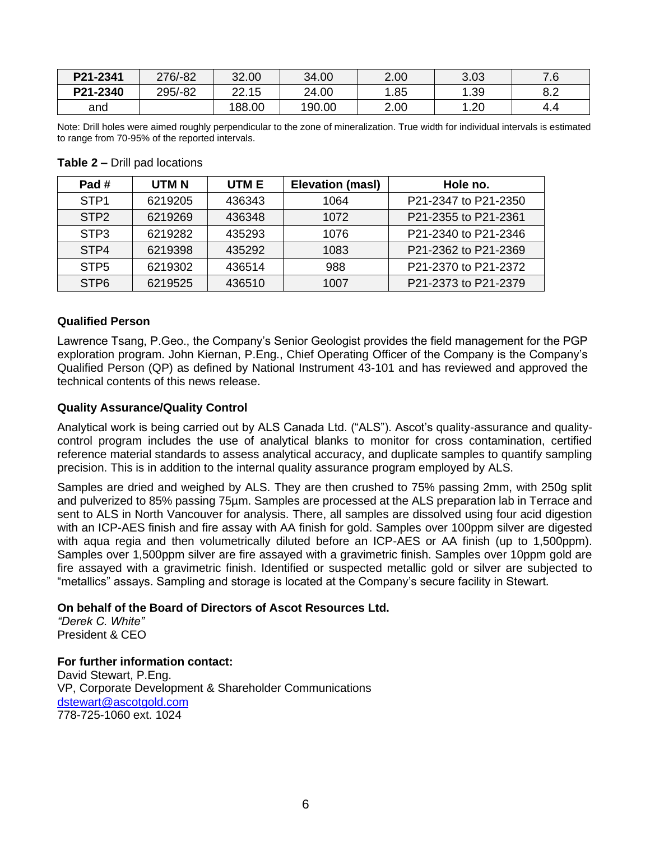| P21-2341 | 276/-82 | 32.00  | 34.00  | 2.00 | 3.03 | 7.6 |
|----------|---------|--------|--------|------|------|-----|
| P21-2340 | 295/-82 | 22.15  | 24.00  | 1.85 | 1.39 | 8.2 |
| and      |         | 188.00 | 190.00 | 2.00 | .20  | 4.4 |

Note: Drill holes were aimed roughly perpendicular to the zone of mineralization. True width for individual intervals is estimated to range from 70-95% of the reported intervals.

| <b>Table 2 – Drill pad locations</b> |  |
|--------------------------------------|--|
|--------------------------------------|--|

| Pad#             | UTM <sub>N</sub> | UTM E  | <b>Elevation (masl)</b> | Hole no.             |
|------------------|------------------|--------|-------------------------|----------------------|
| STP <sub>1</sub> | 6219205          | 436343 | 1064                    | P21-2347 to P21-2350 |
| STP <sub>2</sub> | 6219269          | 436348 | 1072                    | P21-2355 to P21-2361 |
| STP3             | 6219282          | 435293 | 1076                    | P21-2340 to P21-2346 |
| STP4             | 6219398          | 435292 | 1083                    | P21-2362 to P21-2369 |
| STP <sub>5</sub> | 6219302          | 436514 | 988                     | P21-2370 to P21-2372 |
| STP <sub>6</sub> | 6219525          | 436510 | 1007                    | P21-2373 to P21-2379 |

### **Qualified Person**

Lawrence Tsang, P.Geo., the Company's Senior Geologist provides the field management for the PGP exploration program. John Kiernan, P.Eng., Chief Operating Officer of the Company is the Company's Qualified Person (QP) as defined by National Instrument 43-101 and has reviewed and approved the technical contents of this news release.

#### **Quality Assurance/Quality Control**

Analytical work is being carried out by ALS Canada Ltd. ("ALS"). Ascot's quality-assurance and qualitycontrol program includes the use of analytical blanks to monitor for cross contamination, certified reference material standards to assess analytical accuracy, and duplicate samples to quantify sampling precision. This is in addition to the internal quality assurance program employed by ALS.

Samples are dried and weighed by ALS. They are then crushed to 75% passing 2mm, with 250g split and pulverized to 85% passing 75µm. Samples are processed at the ALS preparation lab in Terrace and sent to ALS in North Vancouver for analysis. There, all samples are dissolved using four acid digestion with an ICP-AES finish and fire assay with AA finish for gold. Samples over 100ppm silver are digested with aqua regia and then volumetrically diluted before an ICP-AES or AA finish (up to 1,500ppm). Samples over 1,500ppm silver are fire assayed with a gravimetric finish. Samples over 10ppm gold are fire assayed with a gravimetric finish. Identified or suspected metallic gold or silver are subjected to "metallics" assays. Sampling and storage is located at the Company's secure facility in Stewart.

#### **On behalf of the Board of Directors of Ascot Resources Ltd.**

*"Derek C. White"* President & CEO

**For further information contact:** David Stewart, P.Eng.

VP, Corporate Development & Shareholder Communications [dstewart@ascotgold.com](mailto:dstewart@ascotgold.com) 778-725-1060 ext. 1024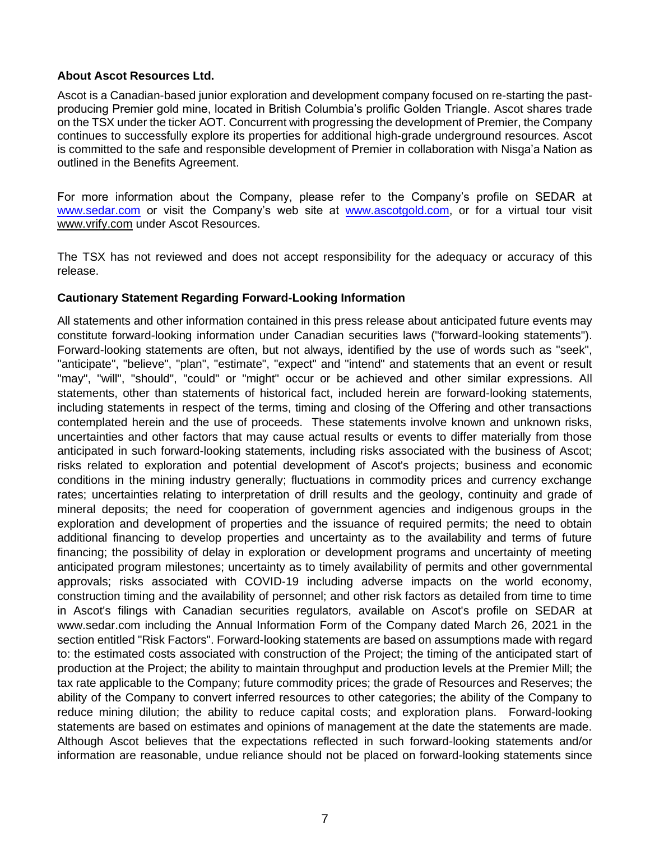#### **About Ascot Resources Ltd.**

Ascot is a Canadian-based junior exploration and development company focused on re-starting the pastproducing Premier gold mine, located in British Columbia's prolific Golden Triangle. Ascot shares trade on the TSX under the ticker AOT. Concurrent with progressing the development of Premier, the Company continues to successfully explore its properties for additional high-grade underground resources. Ascot is committed to the safe and responsible development of Premier in collaboration with Nisga'a Nation as outlined in the Benefits Agreement.

For more information about the Company, please refer to the Company's profile on SEDAR at [www.sedar.com](http://www.sedar.com/) or visit the Company's web site at [www.ascotgold.com,](http://www.ascotgold.com/) or for a virtual tour visit [www.vrify.com](http://www.vrify.com/) under Ascot Resources.

The TSX has not reviewed and does not accept responsibility for the adequacy or accuracy of this release.

## **Cautionary Statement Regarding Forward-Looking Information**

All statements and other information contained in this press release about anticipated future events may constitute forward-looking information under Canadian securities laws ("forward-looking statements"). Forward-looking statements are often, but not always, identified by the use of words such as "seek", "anticipate", "believe", "plan", "estimate", "expect" and "intend" and statements that an event or result "may", "will", "should", "could" or "might" occur or be achieved and other similar expressions. All statements, other than statements of historical fact, included herein are forward-looking statements, including statements in respect of the terms, timing and closing of the Offering and other transactions contemplated herein and the use of proceeds. These statements involve known and unknown risks, uncertainties and other factors that may cause actual results or events to differ materially from those anticipated in such forward-looking statements, including risks associated with the business of Ascot; risks related to exploration and potential development of Ascot's projects; business and economic conditions in the mining industry generally; fluctuations in commodity prices and currency exchange rates; uncertainties relating to interpretation of drill results and the geology, continuity and grade of mineral deposits; the need for cooperation of government agencies and indigenous groups in the exploration and development of properties and the issuance of required permits; the need to obtain additional financing to develop properties and uncertainty as to the availability and terms of future financing; the possibility of delay in exploration or development programs and uncertainty of meeting anticipated program milestones; uncertainty as to timely availability of permits and other governmental approvals; risks associated with COVID-19 including adverse impacts on the world economy, construction timing and the availability of personnel; and other risk factors as detailed from time to time in Ascot's filings with Canadian securities regulators, available on Ascot's profile on SEDAR at www.sedar.com including the Annual Information Form of the Company dated March 26, 2021 in the section entitled "Risk Factors". Forward-looking statements are based on assumptions made with regard to: the estimated costs associated with construction of the Project; the timing of the anticipated start of production at the Project; the ability to maintain throughput and production levels at the Premier Mill; the tax rate applicable to the Company; future commodity prices; the grade of Resources and Reserves; the ability of the Company to convert inferred resources to other categories; the ability of the Company to reduce mining dilution; the ability to reduce capital costs; and exploration plans. Forward-looking statements are based on estimates and opinions of management at the date the statements are made. Although Ascot believes that the expectations reflected in such forward-looking statements and/or information are reasonable, undue reliance should not be placed on forward-looking statements since